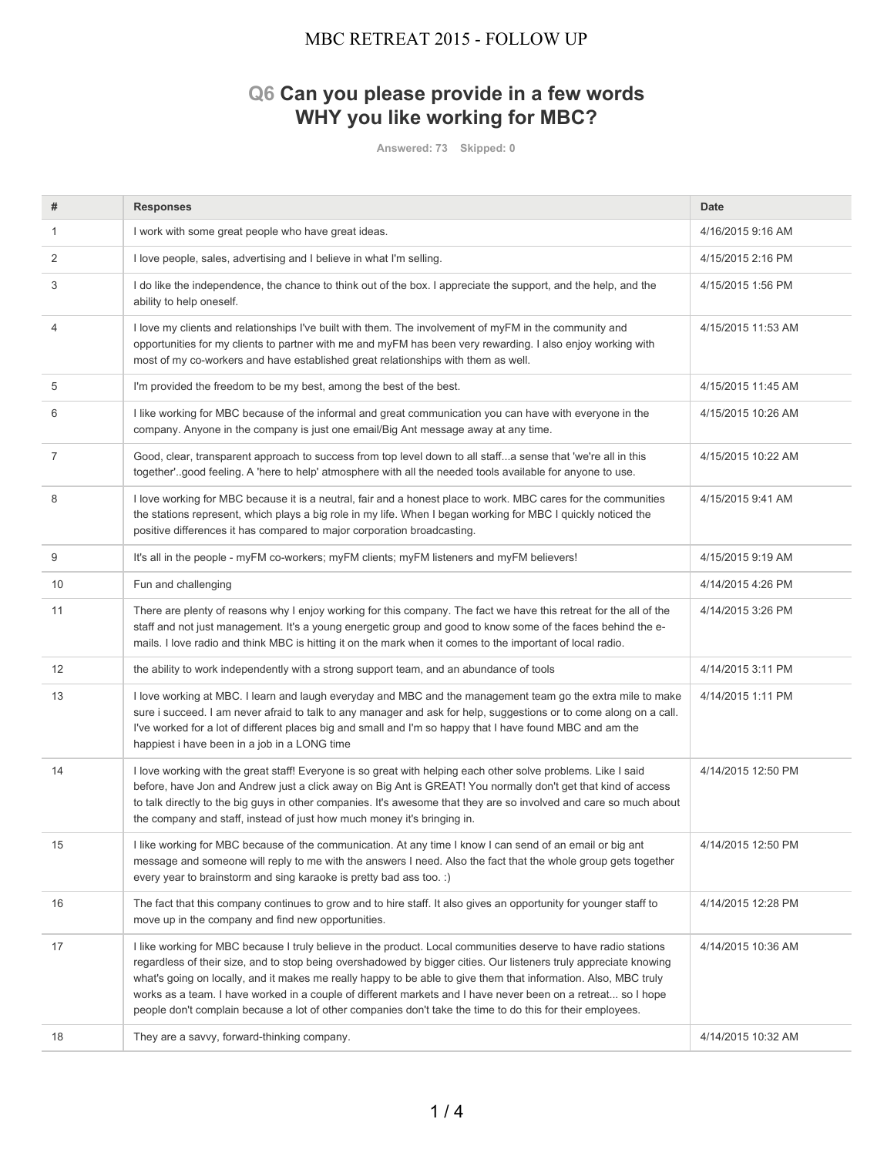# **Q6 Can you please provide in a few words WHY you like working for MBC?**

**Answered: 73 Skipped: 0**

| #  | <b>Responses</b>                                                                                                                                                                                                                                                                                                                                                                                                                                                                                                                                                                      | <b>Date</b>        |
|----|---------------------------------------------------------------------------------------------------------------------------------------------------------------------------------------------------------------------------------------------------------------------------------------------------------------------------------------------------------------------------------------------------------------------------------------------------------------------------------------------------------------------------------------------------------------------------------------|--------------------|
| 1  | I work with some great people who have great ideas.                                                                                                                                                                                                                                                                                                                                                                                                                                                                                                                                   | 4/16/2015 9:16 AM  |
| 2  | I love people, sales, advertising and I believe in what I'm selling.                                                                                                                                                                                                                                                                                                                                                                                                                                                                                                                  | 4/15/2015 2:16 PM  |
| 3  | I do like the independence, the chance to think out of the box. I appreciate the support, and the help, and the<br>ability to help oneself.                                                                                                                                                                                                                                                                                                                                                                                                                                           | 4/15/2015 1:56 PM  |
| 4  | I love my clients and relationships I've built with them. The involvement of myFM in the community and<br>opportunities for my clients to partner with me and myFM has been very rewarding. I also enjoy working with<br>most of my co-workers and have established great relationships with them as well.                                                                                                                                                                                                                                                                            | 4/15/2015 11:53 AM |
| 5  | I'm provided the freedom to be my best, among the best of the best.                                                                                                                                                                                                                                                                                                                                                                                                                                                                                                                   | 4/15/2015 11:45 AM |
| 6  | I like working for MBC because of the informal and great communication you can have with everyone in the<br>company. Anyone in the company is just one email/Big Ant message away at any time.                                                                                                                                                                                                                                                                                                                                                                                        | 4/15/2015 10:26 AM |
| 7  | Good, clear, transparent approach to success from top level down to all staffa sense that 'we're all in this<br>together"good feeling. A 'here to help' atmosphere with all the needed tools available for anyone to use.                                                                                                                                                                                                                                                                                                                                                             | 4/15/2015 10:22 AM |
| 8  | I love working for MBC because it is a neutral, fair and a honest place to work. MBC cares for the communities<br>the stations represent, which plays a big role in my life. When I began working for MBC I quickly noticed the<br>positive differences it has compared to major corporation broadcasting.                                                                                                                                                                                                                                                                            | 4/15/2015 9:41 AM  |
| 9  | It's all in the people - myFM co-workers; myFM clients; myFM listeners and myFM believers!                                                                                                                                                                                                                                                                                                                                                                                                                                                                                            | 4/15/2015 9:19 AM  |
| 10 | Fun and challenging                                                                                                                                                                                                                                                                                                                                                                                                                                                                                                                                                                   | 4/14/2015 4:26 PM  |
| 11 | There are plenty of reasons why I enjoy working for this company. The fact we have this retreat for the all of the<br>staff and not just management. It's a young energetic group and good to know some of the faces behind the e-<br>mails. I love radio and think MBC is hitting it on the mark when it comes to the important of local radio.                                                                                                                                                                                                                                      | 4/14/2015 3:26 PM  |
| 12 | the ability to work independently with a strong support team, and an abundance of tools                                                                                                                                                                                                                                                                                                                                                                                                                                                                                               | 4/14/2015 3:11 PM  |
| 13 | I love working at MBC. I learn and laugh everyday and MBC and the management team go the extra mile to make<br>sure i succeed. I am never afraid to talk to any manager and ask for help, suggestions or to come along on a call.<br>I've worked for a lot of different places big and small and I'm so happy that I have found MBC and am the<br>happiest i have been in a job in a LONG time                                                                                                                                                                                        | 4/14/2015 1:11 PM  |
| 14 | I love working with the great staff! Everyone is so great with helping each other solve problems. Like I said<br>before, have Jon and Andrew just a click away on Big Ant is GREAT! You normally don't get that kind of access<br>to talk directly to the big guys in other companies. It's awesome that they are so involved and care so much about<br>the company and staff, instead of just how much money it's bringing in.                                                                                                                                                       | 4/14/2015 12:50 PM |
| 15 | I like working for MBC because of the communication. At any time I know I can send of an email or big ant<br>message and someone will reply to me with the answers I need. Also the fact that the whole group gets together<br>every year to brainstorm and sing karaoke is pretty bad ass too. :)                                                                                                                                                                                                                                                                                    | 4/14/2015 12:50 PM |
| 16 | The fact that this company continues to grow and to hire staff. It also gives an opportunity for younger staff to<br>move up in the company and find new opportunities.                                                                                                                                                                                                                                                                                                                                                                                                               | 4/14/2015 12:28 PM |
| 17 | I like working for MBC because I truly believe in the product. Local communities deserve to have radio stations<br>regardless of their size, and to stop being overshadowed by bigger cities. Our listeners truly appreciate knowing<br>what's going on locally, and it makes me really happy to be able to give them that information. Also, MBC truly<br>works as a team. I have worked in a couple of different markets and I have never been on a retreat so I hope<br>people don't complain because a lot of other companies don't take the time to do this for their employees. | 4/14/2015 10:36 AM |
| 18 | They are a savvy, forward-thinking company.                                                                                                                                                                                                                                                                                                                                                                                                                                                                                                                                           | 4/14/2015 10:32 AM |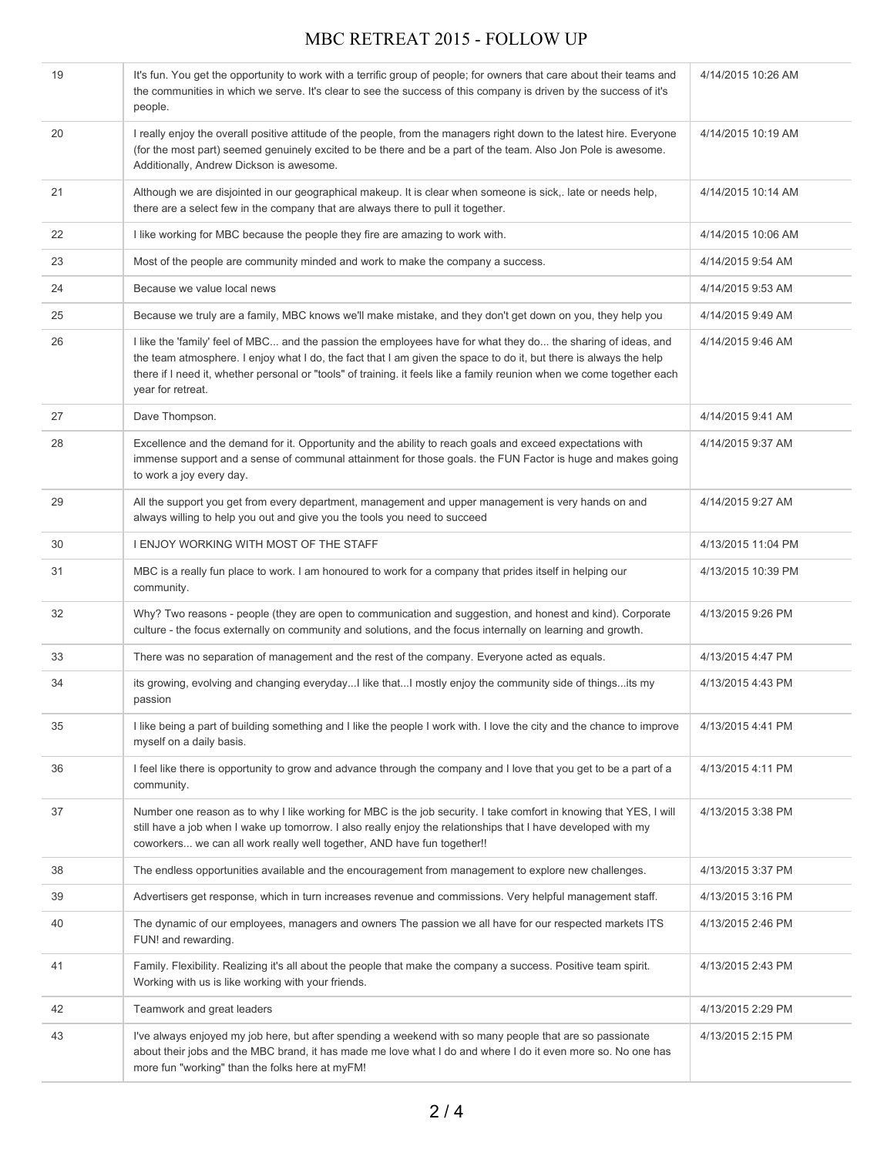| 19 | It's fun. You get the opportunity to work with a terrific group of people; for owners that care about their teams and<br>the communities in which we serve. It's clear to see the success of this company is driven by the success of it's<br>people.                                                                                                                             | 4/14/2015 10:26 AM |
|----|-----------------------------------------------------------------------------------------------------------------------------------------------------------------------------------------------------------------------------------------------------------------------------------------------------------------------------------------------------------------------------------|--------------------|
| 20 | I really enjoy the overall positive attitude of the people, from the managers right down to the latest hire. Everyone<br>(for the most part) seemed genuinely excited to be there and be a part of the team. Also Jon Pole is awesome.<br>Additionally, Andrew Dickson is awesome.                                                                                                | 4/14/2015 10:19 AM |
| 21 | Although we are disjointed in our geographical makeup. It is clear when someone is sick,. late or needs help,<br>there are a select few in the company that are always there to pull it together.                                                                                                                                                                                 | 4/14/2015 10:14 AM |
| 22 | I like working for MBC because the people they fire are amazing to work with.                                                                                                                                                                                                                                                                                                     | 4/14/2015 10:06 AM |
| 23 | Most of the people are community minded and work to make the company a success.                                                                                                                                                                                                                                                                                                   | 4/14/2015 9:54 AM  |
| 24 | Because we value local news                                                                                                                                                                                                                                                                                                                                                       | 4/14/2015 9:53 AM  |
| 25 | Because we truly are a family, MBC knows we'll make mistake, and they don't get down on you, they help you                                                                                                                                                                                                                                                                        | 4/14/2015 9:49 AM  |
| 26 | I like the 'family' feel of MBC and the passion the employees have for what they do the sharing of ideas, and<br>the team atmosphere. I enjoy what I do, the fact that I am given the space to do it, but there is always the help<br>there if I need it, whether personal or "tools" of training. it feels like a family reunion when we come together each<br>year for retreat. | 4/14/2015 9:46 AM  |
| 27 | Dave Thompson.                                                                                                                                                                                                                                                                                                                                                                    | 4/14/2015 9:41 AM  |
| 28 | Excellence and the demand for it. Opportunity and the ability to reach goals and exceed expectations with<br>immense support and a sense of communal attainment for those goals. the FUN Factor is huge and makes going<br>to work a joy every day.                                                                                                                               | 4/14/2015 9:37 AM  |
| 29 | All the support you get from every department, management and upper management is very hands on and<br>always willing to help you out and give you the tools you need to succeed                                                                                                                                                                                                  | 4/14/2015 9:27 AM  |
| 30 | I ENJOY WORKING WITH MOST OF THE STAFF                                                                                                                                                                                                                                                                                                                                            | 4/13/2015 11:04 PM |
| 31 | MBC is a really fun place to work. I am honoured to work for a company that prides itself in helping our<br>community.                                                                                                                                                                                                                                                            | 4/13/2015 10:39 PM |
| 32 | Why? Two reasons - people (they are open to communication and suggestion, and honest and kind). Corporate<br>culture - the focus externally on community and solutions, and the focus internally on learning and growth.                                                                                                                                                          | 4/13/2015 9:26 PM  |
| 33 | There was no separation of management and the rest of the company. Everyone acted as equals.                                                                                                                                                                                                                                                                                      | 4/13/2015 4:47 PM  |
| 34 | its growing, evolving and changing everydayI like thatI mostly enjoy the community side of thingsits my<br>passion                                                                                                                                                                                                                                                                | 4/13/2015 4:43 PM  |
| 35 | I like being a part of building something and I like the people I work with. I love the city and the chance to improve<br>myself on a daily basis.                                                                                                                                                                                                                                | 4/13/2015 4:41 PM  |
| 36 | I feel like there is opportunity to grow and advance through the company and I love that you get to be a part of a<br>community.                                                                                                                                                                                                                                                  | 4/13/2015 4:11 PM  |
| 37 | Number one reason as to why I like working for MBC is the job security. I take comfort in knowing that YES, I will<br>still have a job when I wake up tomorrow. I also really enjoy the relationships that I have developed with my<br>coworkers we can all work really well together, AND have fun together!!                                                                    | 4/13/2015 3:38 PM  |
| 38 | The endless opportunities available and the encouragement from management to explore new challenges.                                                                                                                                                                                                                                                                              | 4/13/2015 3:37 PM  |
| 39 | Advertisers get response, which in turn increases revenue and commissions. Very helpful management staff.                                                                                                                                                                                                                                                                         | 4/13/2015 3:16 PM  |
| 40 | The dynamic of our employees, managers and owners The passion we all have for our respected markets ITS<br>FUN! and rewarding.                                                                                                                                                                                                                                                    | 4/13/2015 2:46 PM  |
| 41 | Family. Flexibility. Realizing it's all about the people that make the company a success. Positive team spirit.<br>Working with us is like working with your friends.                                                                                                                                                                                                             | 4/13/2015 2:43 PM  |
| 42 | Teamwork and great leaders                                                                                                                                                                                                                                                                                                                                                        | 4/13/2015 2:29 PM  |
| 43 | I've always enjoyed my job here, but after spending a weekend with so many people that are so passionate<br>about their jobs and the MBC brand, it has made me love what I do and where I do it even more so. No one has<br>more fun "working" than the folks here at myFM!                                                                                                       | 4/13/2015 2:15 PM  |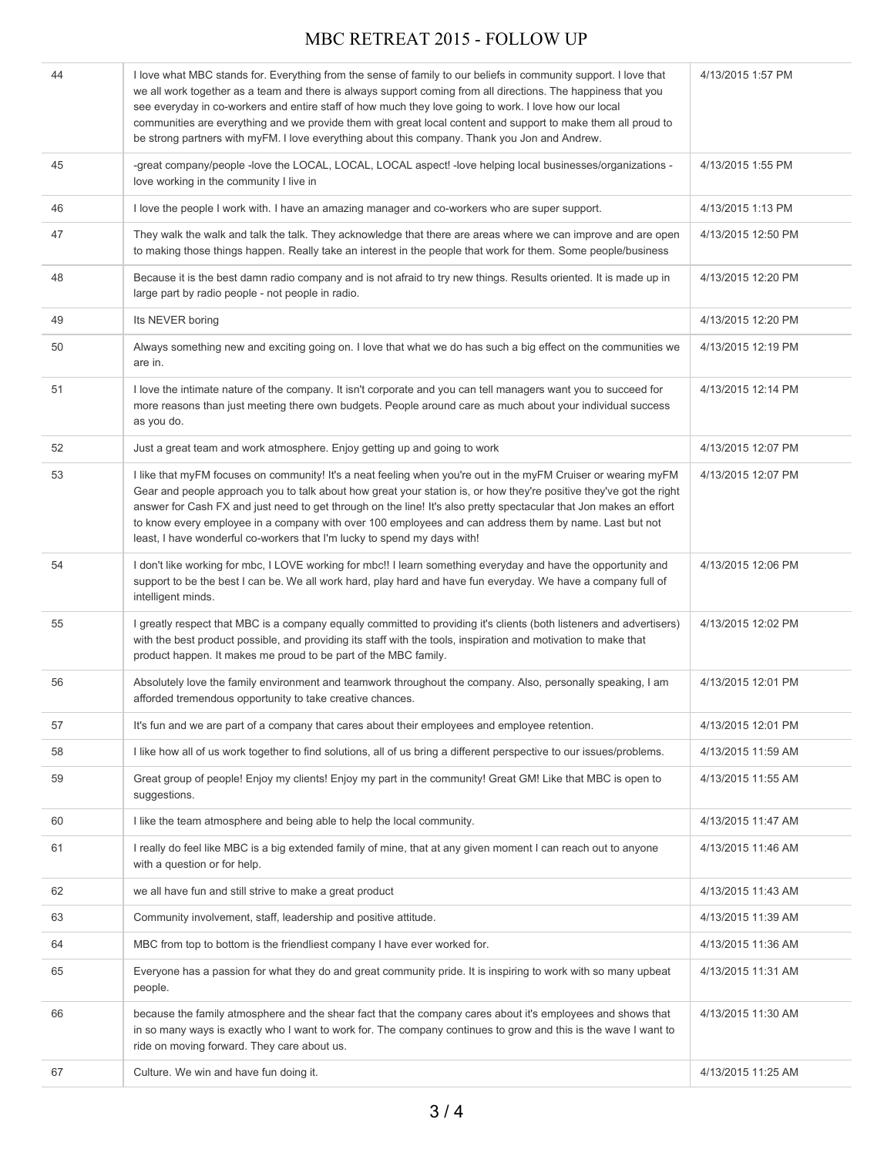| 44 | I love what MBC stands for. Everything from the sense of family to our beliefs in community support. I love that<br>we all work together as a team and there is always support coming from all directions. The happiness that you<br>see everyday in co-workers and entire staff of how much they love going to work. I love how our local<br>communities are everything and we provide them with great local content and support to make them all proud to<br>be strong partners with myFM. I love everything about this company. Thank you Jon and Andrew. | 4/13/2015 1:57 PM  |
|----|--------------------------------------------------------------------------------------------------------------------------------------------------------------------------------------------------------------------------------------------------------------------------------------------------------------------------------------------------------------------------------------------------------------------------------------------------------------------------------------------------------------------------------------------------------------|--------------------|
| 45 | -great company/people -love the LOCAL, LOCAL, LOCAL aspect! -love helping local businesses/organizations -<br>love working in the community I live in                                                                                                                                                                                                                                                                                                                                                                                                        | 4/13/2015 1:55 PM  |
| 46 | I love the people I work with. I have an amazing manager and co-workers who are super support.                                                                                                                                                                                                                                                                                                                                                                                                                                                               | 4/13/2015 1:13 PM  |
| 47 | They walk the walk and talk the talk. They acknowledge that there are areas where we can improve and are open<br>to making those things happen. Really take an interest in the people that work for them. Some people/business                                                                                                                                                                                                                                                                                                                               | 4/13/2015 12:50 PM |
| 48 | Because it is the best damn radio company and is not afraid to try new things. Results oriented. It is made up in<br>large part by radio people - not people in radio.                                                                                                                                                                                                                                                                                                                                                                                       | 4/13/2015 12:20 PM |
| 49 | Its NEVER boring                                                                                                                                                                                                                                                                                                                                                                                                                                                                                                                                             | 4/13/2015 12:20 PM |
| 50 | Always something new and exciting going on. I love that what we do has such a big effect on the communities we<br>are in.                                                                                                                                                                                                                                                                                                                                                                                                                                    | 4/13/2015 12:19 PM |
| 51 | I love the intimate nature of the company. It isn't corporate and you can tell managers want you to succeed for<br>more reasons than just meeting there own budgets. People around care as much about your individual success<br>as you do.                                                                                                                                                                                                                                                                                                                  | 4/13/2015 12:14 PM |
| 52 | Just a great team and work atmosphere. Enjoy getting up and going to work                                                                                                                                                                                                                                                                                                                                                                                                                                                                                    | 4/13/2015 12:07 PM |
| 53 | I like that myFM focuses on community! It's a neat feeling when you're out in the myFM Cruiser or wearing myFM<br>Gear and people approach you to talk about how great your station is, or how they're positive they've got the right<br>answer for Cash FX and just need to get through on the line! It's also pretty spectacular that Jon makes an effort<br>to know every employee in a company with over 100 employees and can address them by name. Last but not<br>least, I have wonderful co-workers that I'm lucky to spend my days with!            | 4/13/2015 12:07 PM |
| 54 | I don't like working for mbc, I LOVE working for mbc!! I learn something everyday and have the opportunity and<br>support to be the best I can be. We all work hard, play hard and have fun everyday. We have a company full of<br>intelligent minds.                                                                                                                                                                                                                                                                                                        | 4/13/2015 12:06 PM |
| 55 | I greatly respect that MBC is a company equally committed to providing it's clients (both listeners and advertisers)<br>with the best product possible, and providing its staff with the tools, inspiration and motivation to make that<br>product happen. It makes me proud to be part of the MBC family.                                                                                                                                                                                                                                                   | 4/13/2015 12:02 PM |
| 56 | Absolutely love the family environment and teamwork throughout the company. Also, personally speaking, I am<br>afforded tremendous opportunity to take creative chances.                                                                                                                                                                                                                                                                                                                                                                                     | 4/13/2015 12:01 PM |
| 57 | It's fun and we are part of a company that cares about their employees and employee retention.                                                                                                                                                                                                                                                                                                                                                                                                                                                               | 4/13/2015 12:01 PM |
| 58 | I like how all of us work together to find solutions, all of us bring a different perspective to our issues/problems.                                                                                                                                                                                                                                                                                                                                                                                                                                        | 4/13/2015 11:59 AM |
| 59 | Great group of people! Enjoy my clients! Enjoy my part in the community! Great GM! Like that MBC is open to<br>suggestions.                                                                                                                                                                                                                                                                                                                                                                                                                                  | 4/13/2015 11:55 AM |
| 60 | I like the team atmosphere and being able to help the local community.                                                                                                                                                                                                                                                                                                                                                                                                                                                                                       | 4/13/2015 11:47 AM |
| 61 | I really do feel like MBC is a big extended family of mine, that at any given moment I can reach out to anyone<br>with a question or for help.                                                                                                                                                                                                                                                                                                                                                                                                               | 4/13/2015 11:46 AM |
| 62 | we all have fun and still strive to make a great product                                                                                                                                                                                                                                                                                                                                                                                                                                                                                                     | 4/13/2015 11:43 AM |
| 63 | Community involvement, staff, leadership and positive attitude.                                                                                                                                                                                                                                                                                                                                                                                                                                                                                              | 4/13/2015 11:39 AM |
| 64 | MBC from top to bottom is the friendliest company I have ever worked for.                                                                                                                                                                                                                                                                                                                                                                                                                                                                                    | 4/13/2015 11:36 AM |
| 65 | Everyone has a passion for what they do and great community pride. It is inspiring to work with so many upbeat<br>people.                                                                                                                                                                                                                                                                                                                                                                                                                                    | 4/13/2015 11:31 AM |
| 66 | because the family atmosphere and the shear fact that the company cares about it's employees and shows that<br>in so many ways is exactly who I want to work for. The company continues to grow and this is the wave I want to<br>ride on moving forward. They care about us.                                                                                                                                                                                                                                                                                | 4/13/2015 11:30 AM |
| 67 | Culture. We win and have fun doing it.                                                                                                                                                                                                                                                                                                                                                                                                                                                                                                                       | 4/13/2015 11:25 AM |